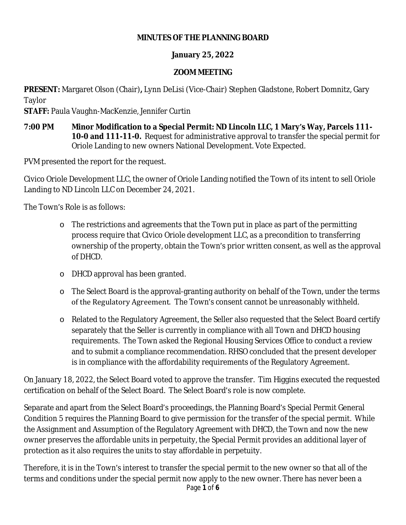#### **MINUTES OF THE PLANNING BOARD**

### **January 25, 2022**

### **ZOOM MEETING**

**PRESENT:** Margaret Olson (Chair)**,** Lynn DeLisi (Vice-Chair) Stephen Gladstone, Robert Domnitz, Gary Taylor

**STAFF:** Paula Vaughn-MacKenzie, Jennifer Curtin

**7:00 PM Minor Modification to a Special Permit: ND Lincoln LLC, 1 Mary's Way, Parcels 111- 10-0 and 111-11-0.** Request for administrative approval to transfer the special permit for Oriole Landing to new owners National Development. Vote Expected.

PVM presented the report for the request.

Civico Oriole Development LLC, the owner of Oriole Landing notified the Town of its intent to sell Oriole Landing to ND Lincoln LLC on December 24, 2021.

The Town's Role is as follows:

- o The restrictions and agreements that the Town put in place as part of the permitting process require that Civico Oriole development LLC, as a precondition to transferring ownership of the property, obtain the Town's prior written consent, as well as the approval of DHCD.
- o DHCD approval has been granted.
- o The Select Board is the approval-granting authority on behalf of the Town, under the terms of the Regulatory Agreement. The Town's consent cannot be unreasonably withheld.
- o Related to the Regulatory Agreement, the Seller also requested that the Select Board certify separately that the Seller is currently in compliance with all Town and DHCD housing requirements. The Town asked the Regional Housing Services Office to conduct a review and to submit a compliance recommendation. RHSO concluded that the present developer is in compliance with the affordability requirements of the Regulatory Agreement.

On January 18, 2022, the Select Board voted to approve the transfer. Tim Higgins executed the requested certification on behalf of the Select Board. The Select Board's role is now complete.

Separate and apart from the Select Board's proceedings, the Planning Board's Special Permit General Condition 5 requires the Planning Board to give permission for the transfer of the special permit. While the Assignment and Assumption of the Regulatory Agreement with DHCD, the Town and now the new owner preserves the affordable units in perpetuity, the Special Permit provides an additional layer of protection as it also requires the units to stay affordable in perpetuity.

Page **1** of **6** Therefore, it is in the Town's interest to transfer the special permit to the new owner so that all of the terms and conditions under the special permit now apply to the new owner. There has never been a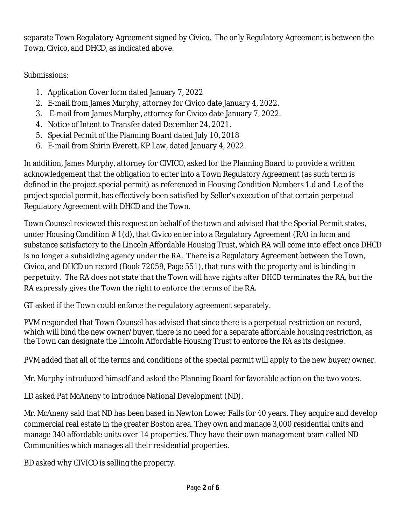separate Town Regulatory Agreement signed by Civico. The only Regulatory Agreement is between the Town, Civico, and DHCD, as indicated above.

Submissions:

- 1. Application Cover form dated January 7, 2022
- 2. E-mail from James Murphy, attorney for Civico date January 4, 2022.
- 3. E-mail from James Murphy, attorney for Civico date January 7, 2022.
- 4. Notice of Intent to Transfer dated December 24, 2021.
- 5. Special Permit of the Planning Board dated July 10, 2018
- 6. E-mail from Shirin Everett, KP Law, dated January 4, 2022.

In addition, James Murphy, attorney for CIVICO, asked for the Planning Board to provide a written acknowledgement that the obligation to enter into a Town Regulatory Agreement (as such term is defined in the project special permit) as referenced in Housing Condition Numbers 1.d and 1.e of the project special permit, has effectively been satisfied by Seller's execution of that certain perpetual Regulatory Agreement with DHCD and the Town.

Town Counsel reviewed this request on behalf of the town and advised that the Special Permit states, under Housing Condition # 1(d), that Civico enter into a Regulatory Agreement (RA) in form and substance satisfactory to the Lincoln Affordable Housing Trust, which RA will come into effect once DHCD is no longer a subsidizing agency under the RA. There is a Regulatory Agreement between the Town, Civico, and DHCD on record (Book 72059, Page 551), that runs with the property and is binding in perpetuity. The RA does not state that the Town will have rights after DHCD terminates the RA, but the RA expressly gives the Town the right to enforce the terms of the RA.

GT asked if the Town could enforce the regulatory agreement separately.

PVM responded that Town Counsel has advised that since there is a perpetual restriction on record, which will bind the new owner/buyer, there is no need for a separate affordable housing restriction, as the Town can designate the Lincoln Affordable Housing Trust to enforce the RA as its designee.

PVM added that all of the terms and conditions of the special permit will apply to the new buyer/owner.

Mr. Murphy introduced himself and asked the Planning Board for favorable action on the two votes.

LD asked Pat McAneny to introduce National Development (ND).

Mr. McAneny said that ND has been based in Newton Lower Falls for 40 years. They acquire and develop commercial real estate in the greater Boston area. They own and manage 3,000 residential units and manage 340 affordable units over 14 properties. They have their own management team called ND Communities which manages all their residential properties.

BD asked why CIVICO is selling the property.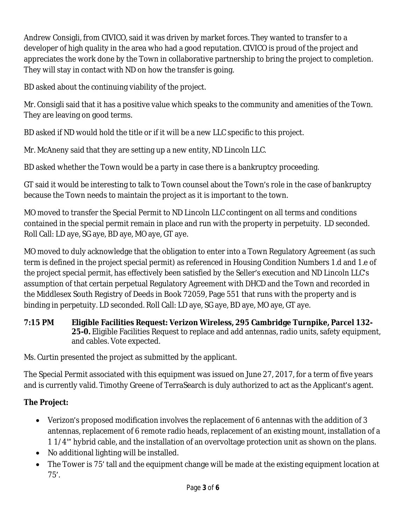Andrew Consigli, from CIVICO, said it was driven by market forces. They wanted to transfer to a developer of high quality in the area who had a good reputation. CIVICO is proud of the project and appreciates the work done by the Town in collaborative partnership to bring the project to completion. They will stay in contact with ND on how the transfer is going.

BD asked about the continuing viability of the project.

Mr. Consigli said that it has a positive value which speaks to the community and amenities of the Town. They are leaving on good terms.

BD asked if ND would hold the title or if it will be a new LLC specific to this project.

Mr. McAneny said that they are setting up a new entity, ND Lincoln LLC.

BD asked whether the Town would be a party in case there is a bankruptcy proceeding.

GT said it would be interesting to talk to Town counsel about the Town's role in the case of bankruptcy because the Town needs to maintain the project as it is important to the town.

MO moved to transfer the Special Permit to ND Lincoln LLC contingent on all terms and conditions contained in the special permit remain in place and run with the property in perpetuity. LD seconded. Roll Call: LD aye, SG aye, BD aye, MO aye, GT aye.

MO moved to duly acknowledge that the obligation to enter into a Town Regulatory Agreement (as such term is defined in the project special permit) as referenced in Housing Condition Numbers 1.d and 1.e of the project special permit, has effectively been satisfied by the Seller's execution and ND Lincoln LLC's assumption of that certain perpetual Regulatory Agreement with DHCD and the Town and recorded in the Middlesex South Registry of Deeds in Book 72059, Page 551 that runs with the property and is binding in perpetuity. LD seconded. Roll Call: LD aye, SG aye, BD aye, MO aye, GT aye.

**7:15 PM Eligible Facilities Request: Verizon Wireless, 295 Cambridge Turnpike, Parcel 132- 25-0.** Eligible Facilities Request to replace and add antennas, radio units, safety equipment, and cables. Vote expected.

Ms. Curtin presented the project as submitted by the applicant.

The Special Permit associated with this equipment was issued on June 27, 2017, for a term of five years and is currently valid. Timothy Greene of TerraSearch is duly authorized to act as the Applicant's agent.

## **The Project:**

- Verizon's proposed modification involves the replacement of 6 antennas with the addition of 3 antennas, replacement of 6 remote radio heads, replacement of an existing mount, installation of a 1 1/4'" hybrid cable, and the installation of an overvoltage protection unit as shown on the plans.
- No additional lighting will be installed.
- The Tower is 75' tall and the equipment change will be made at the existing equipment location at 75'.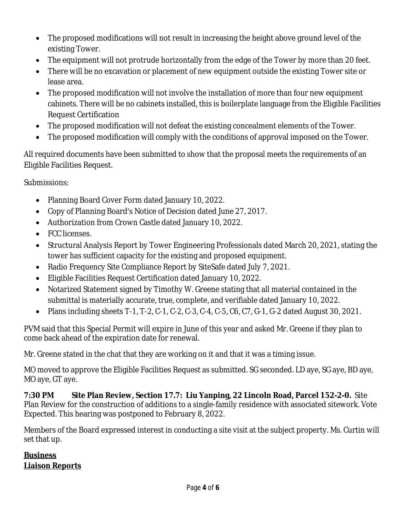- The proposed modifications will not result in increasing the height above ground level of the existing Tower.
- The equipment will not protrude horizontally from the edge of the Tower by more than 20 feet.
- There will be no excavation or placement of new equipment outside the existing Tower site or lease area.
- The proposed modification will not involve the installation of more than four new equipment cabinets. There will be no cabinets installed, this is boilerplate language from the Eligible Facilities Request Certification
- The proposed modification will not defeat the existing concealment elements of the Tower.
- The proposed modification will comply with the conditions of approval imposed on the Tower.

All required documents have been submitted to show that the proposal meets the requirements of an Eligible Facilities Request.

Submissions:

- Planning Board Cover Form dated January 10, 2022.
- Copy of Planning Board's Notice of Decision dated June 27, 2017.
- Authorization from Crown Castle dated January 10, 2022.
- FCC licenses.
- Structural Analysis Report by Tower Engineering Professionals dated March 20, 2021, stating the tower has sufficient capacity for the existing and proposed equipment.
- Radio Frequency Site Compliance Report by SiteSafe dated July 7, 2021.
- Eligible Facilities Request Certification dated January 10, 2022.
- Notarized Statement signed by Timothy W. Greene stating that all material contained in the submittal is materially accurate, true, complete, and verifiable dated January 10, 2022.
- Plans including sheets T-1, T-2, C-1, C-2, C-3, C-4, C-5, C6, C7, G-1, G-2 dated August 30, 2021.

PVM said that this Special Permit will expire in June of this year and asked Mr. Greene if they plan to come back ahead of the expiration date for renewal.

Mr. Greene stated in the chat that they are working on it and that it was a timing issue.

MO moved to approve the Eligible Facilities Request as submitted. SG seconded. LD aye, SG aye, BD aye, MO aye, GT aye.

**7:30 PM Site Plan Review, Section 17.7: Liu Yanping, 22 Lincoln Road, Parcel 152-2-0.** Site Plan Review for the construction of additions to a single-family residence with associated sitework. Vote Expected. This hearing was postponed to February 8, 2022.

Members of the Board expressed interest in conducting a site visit at the subject property. Ms. Curtin will set that up.

# **Business Liaison Reports**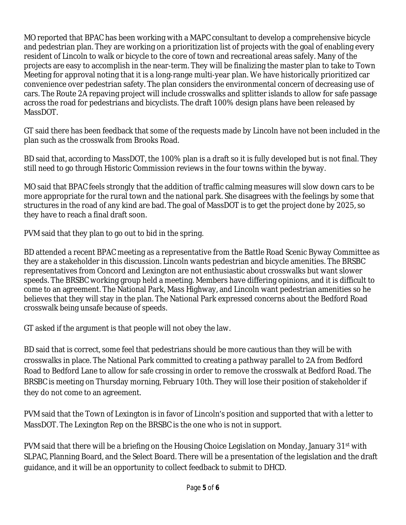MO reported that BPAC has been working with a MAPC consultant to develop a comprehensive bicycle and pedestrian plan. They are working on a prioritization list of projects with the goal of enabling every resident of Lincoln to walk or bicycle to the core of town and recreational areas safely. Many of the projects are easy to accomplish in the near-term. They will be finalizing the master plan to take to Town Meeting for approval noting that it is a long-range multi-year plan. We have historically prioritized car convenience over pedestrian safety. The plan considers the environmental concern of decreasing use of cars. The Route 2A repaving project will include crosswalks and splitter islands to allow for safe passage across the road for pedestrians and bicyclists. The draft 100% design plans have been released by MassDOT.

GT said there has been feedback that some of the requests made by Lincoln have not been included in the plan such as the crosswalk from Brooks Road.

BD said that, according to MassDOT, the 100% plan is a draft so it is fully developed but is not final. They still need to go through Historic Commission reviews in the four towns within the byway.

MO said that BPAC feels strongly that the addition of traffic calming measures will slow down cars to be more appropriate for the rural town and the national park. She disagrees with the feelings by some that structures in the road of any kind are bad. The goal of MassDOT is to get the project done by 2025, so they have to reach a final draft soon.

PVM said that they plan to go out to bid in the spring.

BD attended a recent BPAC meeting as a representative from the Battle Road Scenic Byway Committee as they are a stakeholder in this discussion. Lincoln wants pedestrian and bicycle amenities. The BRSBC representatives from Concord and Lexington are not enthusiastic about crosswalks but want slower speeds. The BRSBC working group held a meeting. Members have differing opinions, and it is difficult to come to an agreement. The National Park, Mass Highway, and Lincoln want pedestrian amenities so he believes that they will stay in the plan. The National Park expressed concerns about the Bedford Road crosswalk being unsafe because of speeds.

GT asked if the argument is that people will not obey the law.

BD said that is correct, some feel that pedestrians should be more cautious than they will be with crosswalks in place. The National Park committed to creating a pathway parallel to 2A from Bedford Road to Bedford Lane to allow for safe crossing in order to remove the crosswalk at Bedford Road. The BRSBC is meeting on Thursday morning, February 10th. They will lose their position of stakeholder if they do not come to an agreement.

PVM said that the Town of Lexington is in favor of Lincoln's position and supported that with a letter to MassDOT. The Lexington Rep on the BRSBC is the one who is not in support.

PVM said that there will be a briefing on the Housing Choice Legislation on Monday, January  $31^{st}$  with SLPAC, Planning Board, and the Select Board. There will be a presentation of the legislation and the draft guidance, and it will be an opportunity to collect feedback to submit to DHCD.